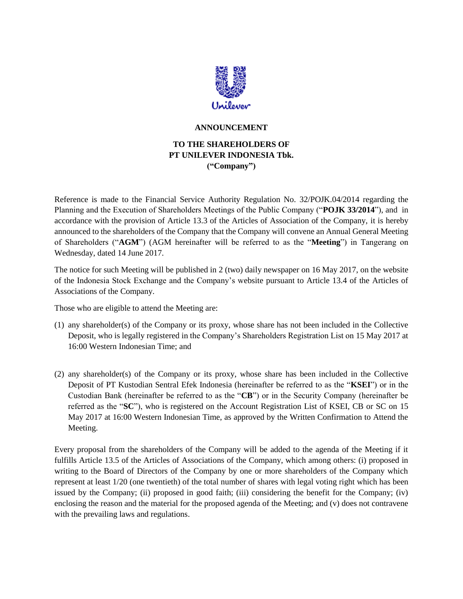

## **ANNOUNCEMENT**

## **TO THE SHAREHOLDERS OF PT UNILEVER INDONESIA Tbk. ("Company")**

Reference is made to the Financial Service Authority Regulation No. 32/POJK.04/2014 regarding the Planning and the Execution of Shareholders Meetings of the Public Company ("**POJK 33/2014**"), and in accordance with the provision of Article 13.3 of the Articles of Association of the Company, it is hereby announced to the shareholders of the Company that the Company will convene an Annual General Meeting of Shareholders ("**AGM**") (AGM hereinafter will be referred to as the "**Meeting**") in Tangerang on Wednesday, dated 14 June 2017.

The notice for such Meeting will be published in 2 (two) daily newspaper on 16 May 2017, on the website of the Indonesia Stock Exchange and the Company's website pursuant to Article 13.4 of the Articles of Associations of the Company.

Those who are eligible to attend the Meeting are:

- (1) any shareholder(s) of the Company or its proxy, whose share has not been included in the Collective Deposit, who is legally registered in the Company's Shareholders Registration List on 15 May 2017 at 16:00 Western Indonesian Time; and
- (2) any shareholder(s) of the Company or its proxy, whose share has been included in the Collective Deposit of PT Kustodian Sentral Efek Indonesia (hereinafter be referred to as the "**KSEI**") or in the Custodian Bank (hereinafter be referred to as the "**CB**") or in the Security Company (hereinafter be referred as the "**SC**"), who is registered on the Account Registration List of KSEI, CB or SC on 15 May 2017 at 16:00 Western Indonesian Time, as approved by the Written Confirmation to Attend the Meeting.

Every proposal from the shareholders of the Company will be added to the agenda of the Meeting if it fulfills Article 13.5 of the Articles of Associations of the Company, which among others: (i) proposed in writing to the Board of Directors of the Company by one or more shareholders of the Company which represent at least 1/20 (one twentieth) of the total number of shares with legal voting right which has been issued by the Company; (ii) proposed in good faith; (iii) considering the benefit for the Company; (iv) enclosing the reason and the material for the proposed agenda of the Meeting; and (v) does not contravene with the prevailing laws and regulations.